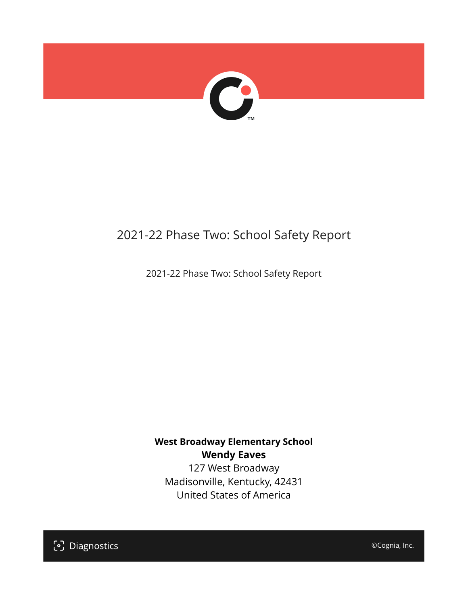

## 2021-22 Phase Two: School Safety Report

2021-22 Phase Two: School Safety Report

### **West Broadway Elementary School Wendy Eaves**

127 West Broadway Madisonville, Kentucky, 42431 United States of America

[၁] Diagnostics

©Cognia, Inc.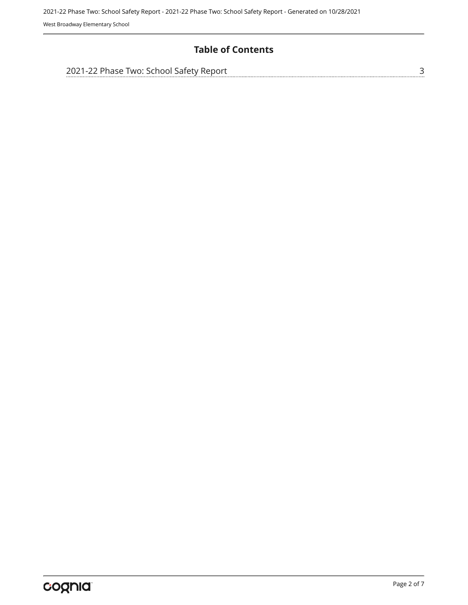West Broadway Elementary School

#### **Table of Contents**

| 2021-22 Phase Two: School Safety Report |  |
|-----------------------------------------|--|
|                                         |  |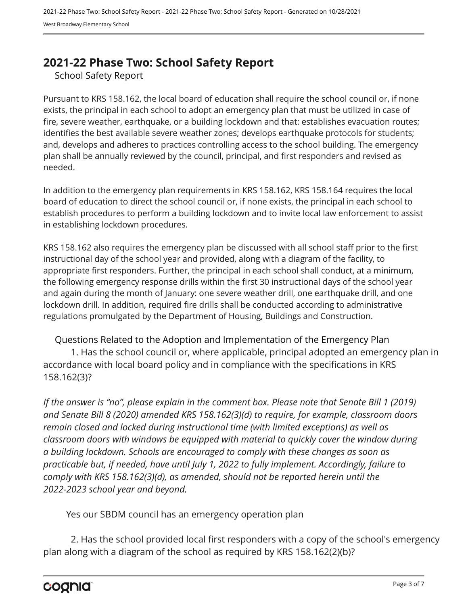## <span id="page-2-0"></span>**2021-22 Phase Two: School Safety Report**

School Safety Report

Pursuant to KRS 158.162, the local board of education shall require the school council or, if none exists, the principal in each school to adopt an emergency plan that must be utilized in case of fire, severe weather, earthquake, or a building lockdown and that: establishes evacuation routes; identifies the best available severe weather zones; develops earthquake protocols for students; and, develops and adheres to practices controlling access to the school building. The emergency plan shall be annually reviewed by the council, principal, and first responders and revised as needed.

In addition to the emergency plan requirements in KRS 158.162, KRS 158.164 requires the local board of education to direct the school council or, if none exists, the principal in each school to establish procedures to perform a building lockdown and to invite local law enforcement to assist in establishing lockdown procedures.

KRS 158.162 also requires the emergency plan be discussed with all school staff prior to the first instructional day of the school year and provided, along with a diagram of the facility, to appropriate first responders. Further, the principal in each school shall conduct, at a minimum, the following emergency response drills within the first 30 instructional days of the school year and again during the month of January: one severe weather drill, one earthquake drill, and one lockdown drill. In addition, required fire drills shall be conducted according to administrative regulations promulgated by the Department of Housing, Buildings and Construction.

Questions Related to the Adoption and Implementation of the Emergency Plan 1. Has the school council or, where applicable, principal adopted an emergency plan in accordance with local board policy and in compliance with the specifications in KRS 158.162(3)?

*If the answer is "no", please explain in the comment box. Please note that Senate Bill 1 (2019) and Senate Bill 8 (2020) amended KRS 158.162(3)(d) to require, for example, classroom doors remain closed and locked during instructional time (with limited exceptions) as well as classroom doors with windows be equipped with material to quickly cover the window during a building lockdown. Schools are encouraged to comply with these changes as soon as practicable but, if needed, have until July 1, 2022 to fully implement. Accordingly, failure to comply with KRS 158.162(3)(d), as amended, should not be reported herein until the 2022-2023 school year and beyond.*

Yes our SBDM council has an emergency operation plan

2. Has the school provided local first responders with a copy of the school's emergency plan along with a diagram of the school as required by KRS 158.162(2)(b)?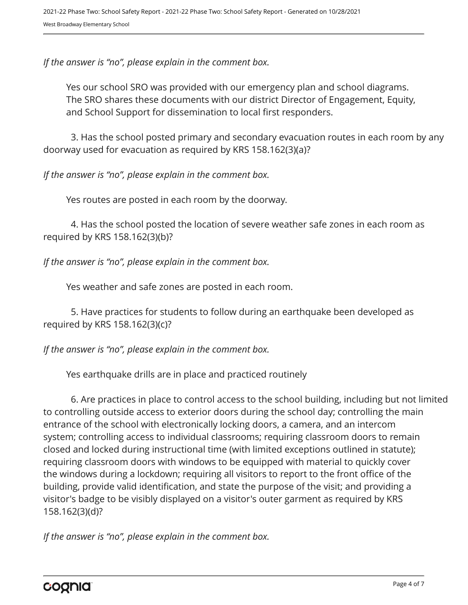*If the answer is "no", please explain in the comment box.*

Yes our school SRO was provided with our emergency plan and school diagrams. The SRO shares these documents with our district Director of Engagement, Equity, and School Support for dissemination to local first responders.

3. Has the school posted primary and secondary evacuation routes in each room by any doorway used for evacuation as required by KRS 158.162(3)(a)?

*If the answer is "no", please explain in the comment box.*

Yes routes are posted in each room by the doorway.

4. Has the school posted the location of severe weather safe zones in each room as required by KRS 158.162(3)(b)?

*If the answer is "no", please explain in the comment box.*

Yes weather and safe zones are posted in each room.

5. Have practices for students to follow during an earthquake been developed as required by KRS 158.162(3)(c)?

*If the answer is "no", please explain in the comment box.*

Yes earthquake drills are in place and practiced routinely

6. Are practices in place to control access to the school building, including but not limited to controlling outside access to exterior doors during the school day; controlling the main entrance of the school with electronically locking doors, a camera, and an intercom system; controlling access to individual classrooms; requiring classroom doors to remain closed and locked during instructional time (with limited exceptions outlined in statute); requiring classroom doors with windows to be equipped with material to quickly cover the windows during a lockdown; requiring all visitors to report to the front office of the building, provide valid identification, and state the purpose of the visit; and providing a visitor's badge to be visibly displayed on a visitor's outer garment as required by KRS 158.162(3)(d)?

*If the answer is "no", please explain in the comment box.*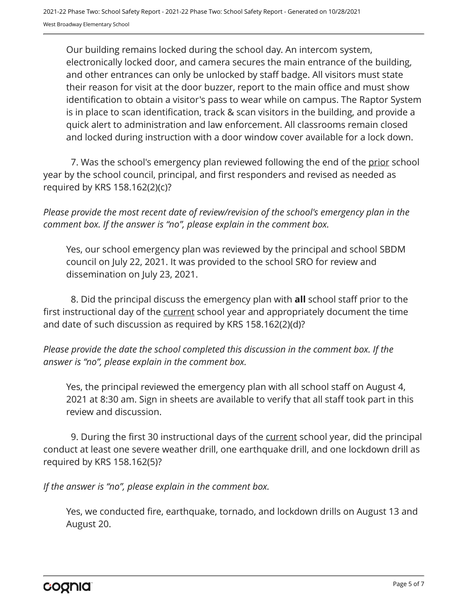Our building remains locked during the school day. An intercom system, electronically locked door, and camera secures the main entrance of the building, and other entrances can only be unlocked by staff badge. All visitors must state their reason for visit at the door buzzer, report to the main office and must show identification to obtain a visitor's pass to wear while on campus. The Raptor System is in place to scan identification, track & scan visitors in the building, and provide a quick alert to administration and law enforcement. All classrooms remain closed and locked during instruction with a door window cover available for a lock down.

7. Was the school's emergency plan reviewed following the end of the prior school year by the school council, principal, and first responders and revised as needed as required by KRS 158.162(2)(c)?

*Please provide the most recent date of review/revision of the school's emergency plan in the comment box. If the answer is "no", please explain in the comment box.* 

Yes, our school emergency plan was reviewed by the principal and school SBDM council on July 22, 2021. It was provided to the school SRO for review and dissemination on July 23, 2021.

8. Did the principal discuss the emergency plan with **all** school staff prior to the first instructional day of the current school year and appropriately document the time and date of such discussion as required by KRS 158.162(2)(d)?

*Please provide the date the school completed this discussion in the comment box. If the answer is "no", please explain in the comment box.*

Yes, the principal reviewed the emergency plan with all school staff on August 4, 2021 at 8:30 am. Sign in sheets are available to verify that all staff took part in this review and discussion.

9. During the first 30 instructional days of the current school year, did the principal conduct at least one severe weather drill, one earthquake drill, and one lockdown drill as required by KRS 158.162(5)?

*If the answer is "no", please explain in the comment box.*

Yes, we conducted fire, earthquake, tornado, and lockdown drills on August 13 and August 20.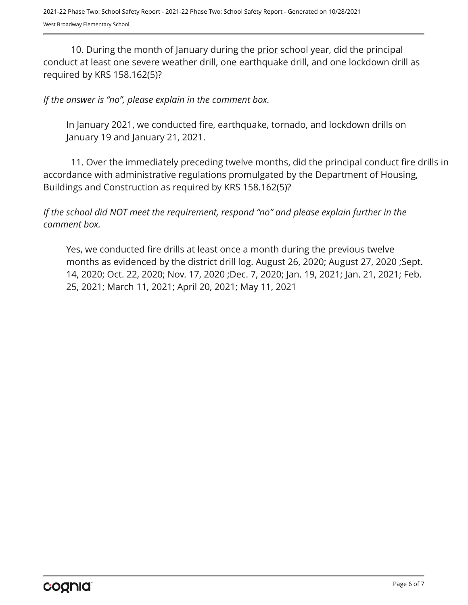10. During the month of January during the prior school year, did the principal conduct at least one severe weather drill, one earthquake drill, and one lockdown drill as required by KRS 158.162(5)?

#### *If the answer is "no", please explain in the comment box.*

In January 2021, we conducted fire, earthquake, tornado, and lockdown drills on January 19 and January 21, 2021.

11. Over the immediately preceding twelve months, did the principal conduct fire drills in accordance with administrative regulations promulgated by the Department of Housing, Buildings and Construction as required by KRS 158.162(5)?

*If the school did NOT meet the requirement, respond "no" and please explain further in the comment box.* 

Yes, we conducted fire drills at least once a month during the previous twelve months as evidenced by the district drill log. August 26, 2020; August 27, 2020 ;Sept. 14, 2020; Oct. 22, 2020; Nov. 17, 2020 ;Dec. 7, 2020; Jan. 19, 2021; Jan. 21, 2021; Feb. 25, 2021; March 11, 2021; April 20, 2021; May 11, 2021